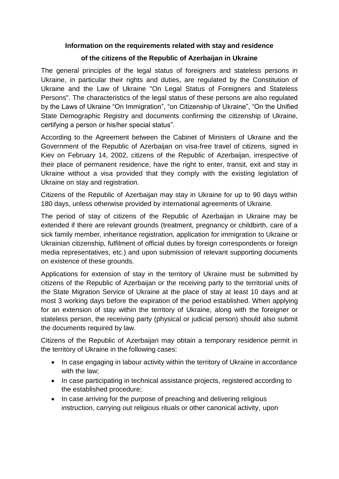## **Information on the requirements related with stay and residence**

## **of the citizens of the Republic of Azerbaijan in Ukraine**

The general principles of the legal status of foreigners and stateless persons in Ukraine, in particular their rights and duties, are regulated by the Constitution of Ukraine and the Law of Ukraine "On Legal Status of Foreigners and Stateless Persons". The characteristics of the legal status of these persons are also regulated by the Laws of Ukraine "On Immigration", "on Citizenship of Ukraine", "On the Unified State Demographic Registry and documents confirming the citizenship of Ukraine, certifying a person or his/her special status".

According to the Agreement between the Cabinet of Ministers of Ukraine and the Government of the Republic of Azerbaijan on visa-free travel of citizens, signed in Kiev on February 14, 2002, citizens of the Republic of Azerbaijan, irrespective of their place of permanent residence, have the right to enter, transit, exit and stay in Ukraine without a visa provided that they comply with the existing legislation of Ukraine on stay and registration.

Citizens of the Republic of Azerbaijan may stay in Ukraine for up to 90 days within 180 days, unless otherwise provided by international agreements of Ukraine.

The period of stay of citizens of the Republic of Azerbaijan in Ukraine may be extended if there are relevant grounds (treatment, pregnancy or childbirth, care of a sick family member, inheritance registration, application for immigration to Ukraine or Ukrainian citizenship, fulfilment of official duties by foreign correspondents or foreign media representatives, etc.) and upon submission of relevant supporting documents on existence of these grounds.

Applications for extension of stay in the territory of Ukraine must be submitted by citizens of the Republic of Azerbaijan or the receiving party to the territorial units of the State Migration Service of Ukraine at the place of stay at least 10 days and at most 3 working days before the expiration of the period established. When applying for an extension of stay within the territory of Ukraine, along with the foreigner or stateless person, the receiving party (physical or judicial person) should also submit the documents required by law.

Citizens of the Republic of Azerbaijan may obtain a temporary residence permit in the territory of Ukraine in the following cases:

- In case engaging in labour activity within the territory of Ukraine in accordance with the law;
- In case participating in technical assistance projects, registered according to the established procedure;
- In case arriving for the purpose of preaching and delivering religious instruction, carrying out religious rituals or other canonical activity, upon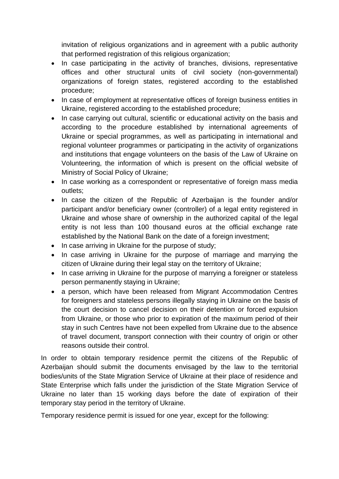invitation of religious organizations and in agreement with a public authority that performed registration of this religious organization;

- In case participating in the activity of branches, divisions, representative offices and other structural units of civil society (non-governmental) organizations of foreign states, registered according to the established procedure;
- In case of employment at representative offices of foreign business entities in Ukraine, registered according to the established procedure;
- In case carrying out cultural, scientific or educational activity on the basis and according to the procedure established by international agreements of Ukraine or special programmes, as well as participating in international and regional volunteer programmes or participating in the activity of organizations and institutions that engage volunteers on the basis of the Law of Ukraine on Volunteering, the information of which is present on the official website of Ministry of Social Policy of Ukraine;
- In case working as a correspondent or representative of foreign mass media outlets;
- In case the citizen of the Republic of Azerbaijan is the founder and/or participant and/or beneficiary owner (controller) of a legal entity registered in Ukraine and whose share of ownership in the authorized capital of the legal entity is not less than 100 thousand euros at the official exchange rate established by the National Bank on the date of a foreign investment;
- In case arriving in Ukraine for the purpose of study;
- In case arriving in Ukraine for the purpose of marriage and marrying the citizen of Ukraine during their legal stay on the territory of Ukraine;
- In case arriving in Ukraine for the purpose of marrying a foreigner or stateless person permanently staying in Ukraine;
- a person, which have been released from Migrant Accommodation Centres for foreigners and stateless persons illegally staying in Ukraine on the basis of the court decision to cancel decision on their detention or forced expulsion from Ukraine, or those who prior to expiration of the maximum period of their stay in such Centres have not been expelled from Ukraine due to the absence of travel document, transport connection with their country of origin or other reasons outside their control.

In order to obtain temporary residence permit the citizens of the Republic of Azerbaijan should submit the documents envisaged by the law to the territorial bodies/units of the State Migration Service of Ukraine at their place of residence and State Enterprise which falls under the jurisdiction of the State Migration Service of Ukraine no later than 15 working days before the date of expiration of their temporary stay period in the territory of Ukraine.

Temporary residence permit is issued for one year, except for the following: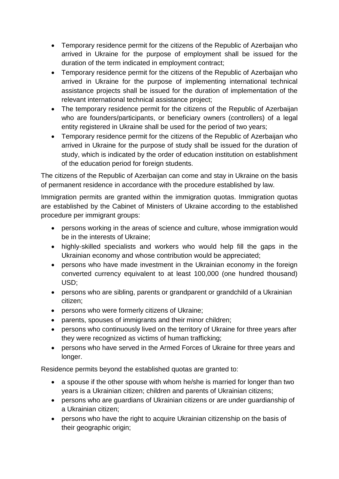- Temporary residence permit for the citizens of the Republic of Azerbaijan who arrived in Ukraine for the purpose of employment shall be issued for the duration of the term indicated in employment contract;
- Temporary residence permit for the citizens of the Republic of Azerbaijan who arrived in Ukraine for the purpose of implementing international technical assistance projects shall be issued for the duration of implementation of the relevant international technical assistance project;
- The temporary residence permit for the citizens of the Republic of Azerbaijan who are founders/participants, or beneficiary owners (controllers) of a legal entity registered in Ukraine shall be used for the period of two years;
- Temporary residence permit for the citizens of the Republic of Azerbaijan who arrived in Ukraine for the purpose of study shall be issued for the duration of study, which is indicated by the order of education institution on establishment of the education period for foreign students.

The citizens of the Republic of Azerbaijan can come and stay in Ukraine on the basis of permanent residence in accordance with the procedure established by law.

Immigration permits are granted within the immigration quotas. Immigration quotas are established by the Cabinet of Ministers of Ukraine according to the established procedure per immigrant groups:

- persons working in the areas of science and culture, whose immigration would be in the interests of Ukraine;
- highly-skilled specialists and workers who would help fill the gaps in the Ukrainian economy and whose contribution would be appreciated;
- persons who have made investment in the Ukrainian economy in the foreign converted currency equivalent to at least 100,000 (one hundred thousand) USD;
- persons who are sibling, parents or grandparent or grandchild of a Ukrainian citizen;
- persons who were formerly citizens of Ukraine;
- parents, spouses of immigrants and their minor children;
- persons who continuously lived on the territory of Ukraine for three years after they were recognized as victims of human trafficking;
- persons who have served in the Armed Forces of Ukraine for three years and longer.

Residence permits beyond the established quotas are granted to:

- a spouse if the other spouse with whom he/she is married for longer than two years is a Ukrainian citizen; children and parents of Ukrainian citizens;
- persons who are guardians of Ukrainian citizens or are under guardianship of a Ukrainian citizen;
- persons who have the right to acquire Ukrainian citizenship on the basis of their geographic origin;